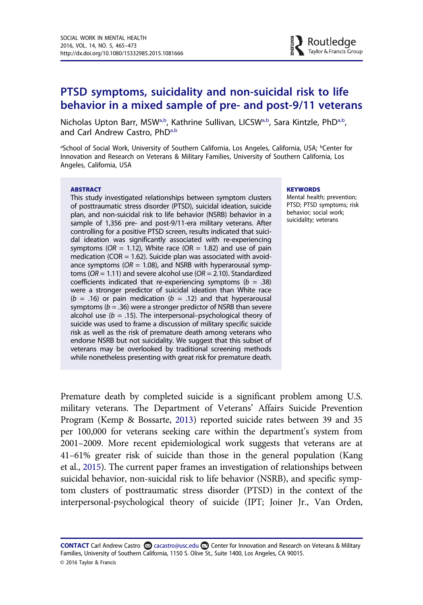# PTSD symptoms, suicidality and non-suicidal risk to life behavior in a mixed sample of pre- and post-9/11 veterans

Nicholas Upton Barr, MSW[a,b](#page-0-0), Kathrine Sullivan, LICS[Wa,b,](#page-0-0) Sara Kintzle, Ph[Da,b,](#page-0-0) and Carl Andrew Castro, PhD<sup>[a,b](#page-0-0)</sup>

<span id="page-0-0"></span>aSchool of Social Work, University of Southern California, Los Angeles, California, USA; <sup>b</sup>Center for Innovation and Research on Veterans & Military Families, University of Southern California, Los Angeles, California, USA

#### ABSTRACT

This study investigated relationships between symptom clusters of posttraumatic stress disorder (PTSD), suicidal ideation, suicide plan, and non-suicidal risk to life behavior (NSRB) behavior in a sample of 1,356 pre- and post-9/11-era military veterans. After controlling for a positive PTSD screen, results indicated that suicidal ideation was significantly associated with re-experiencing symptoms ( $OR = 1.12$ ), White race ( $OR = 1.82$ ) and use of pain medication (COR  $= 1.62$ ). Suicide plan was associated with avoidance symptoms ( $OR = 1.08$ ), and NSRB with hyperarousal symptoms ( $OR = 1.11$ ) and severe alcohol use ( $OR = 2.10$ ). Standardized coefficients indicated that re-experiencing symptoms ( $b = .38$ ) were a stronger predictor of suicidal ideation than White race ( $b = .16$ ) or pain medication ( $b = .12$ ) and that hyperarousal symptoms ( $b = .36$ ) were a stronger predictor of NSRB than severe alcohol use ( $b = .15$ ). The interpersonal–psychological theory of suicide was used to frame a discussion of military specific suicide risk as well as the risk of premature death among veterans who endorse NSRB but not suicidality. We suggest that this subset of veterans may be overlooked by traditional screening methods while nonetheless presenting with great risk for premature death.

#### **KEYWORDS**

Mental health; prevention; PTSD; PTSD symptoms; risk behavior; social work; suicidality; veterans

Premature death by completed suicide is a significant problem among U.S. military veterans. The Department of Veterans' Affairs Suicide Prevention Program (Kemp & Bossarte, [2013](#page-8-0)) reported suicide rates between 39 and 35 per 100,000 for veterans seeking care within the department's system from 2001–2009. More recent epidemiological work suggests that veterans are at 41–61% greater risk of suicide than those in the general population (Kang et al., [2015](#page-7-0)). The current paper frames an investigation of relationships between suicidal behavior, non-suicidal risk to life behavior (NSRB), and specific symptom clusters of posttraumatic stress disorder (PTSD) in the context of the interpersonal-psychological theory of suicide (IPT; Joiner Jr., Van Orden,

CONTACT Carl Andrew Castro & cacastro@usc.edu conter for Innovation and Research on Veterans & Military Families, University of Southern California, 1150 S. Olive St., Suite 1400, Los Angeles, CA 90015. © 2016 Taylor & Francis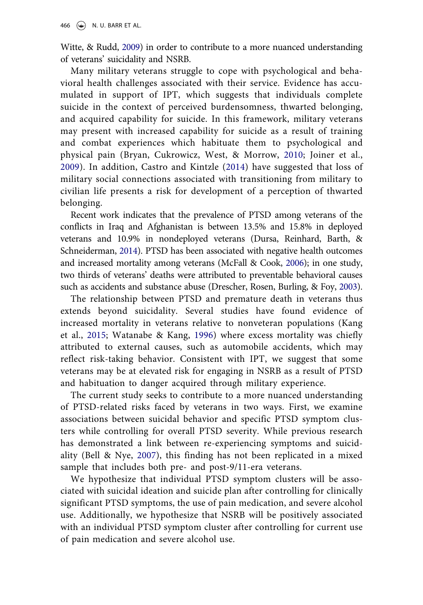Witte, & Rudd, [2009\)](#page-7-1) in order to contribute to a more nuanced understanding of veterans' suicidality and NSRB.

Many military veterans struggle to cope with psychological and behavioral health challenges associated with their service. Evidence has accumulated in support of IPT, which suggests that individuals complete suicide in the context of perceived burdensomness, thwarted belonging, and acquired capability for suicide. In this framework, military veterans may present with increased capability for suicide as a result of training and combat experiences which habituate them to psychological and physical pain (Bryan, Cukrowicz, West, & Morrow, [2010](#page-7-2); Joiner et al., [2009\)](#page-7-1). In addition, Castro and Kintzle ([2014\)](#page-7-3) have suggested that loss of military social connections associated with transitioning from military to civilian life presents a risk for development of a perception of thwarted belonging.

Recent work indicates that the prevalence of PTSD among veterans of the conflicts in Iraq and Afghanistan is between 13.5% and 15.8% in deployed veterans and 10.9% in nondeployed veterans (Dursa, Reinhard, Barth, & Schneiderman, [2014\)](#page-7-4). PTSD has been associated with negative health outcomes and increased mortality among veterans (McFall & Cook, [2006\)](#page-8-1); in one study, two thirds of veterans' deaths were attributed to preventable behavioral causes such as accidents and substance abuse (Drescher, Rosen, Burling, & Foy, [2003\)](#page-7-5).

The relationship between PTSD and premature death in veterans thus extends beyond suicidality. Several studies have found evidence of increased mortality in veterans relative to nonveteran populations (Kang et al., [2015](#page-7-0); Watanabe & Kang, [1996\)](#page-8-2) where excess mortality was chiefly attributed to external causes, such as automobile accidents, which may reflect risk-taking behavior. Consistent with IPT, we suggest that some veterans may be at elevated risk for engaging in NSRB as a result of PTSD and habituation to danger acquired through military experience.

The current study seeks to contribute to a more nuanced understanding of PTSD-related risks faced by veterans in two ways. First, we examine associations between suicidal behavior and specific PTSD symptom clusters while controlling for overall PTSD severity. While previous research has demonstrated a link between re-experiencing symptoms and suicidality (Bell & Nye, [2007\)](#page-7-6), this finding has not been replicated in a mixed sample that includes both pre- and post-9/11-era veterans.

We hypothesize that individual PTSD symptom clusters will be associated with suicidal ideation and suicide plan after controlling for clinically significant PTSD symptoms, the use of pain medication, and severe alcohol use. Additionally, we hypothesize that NSRB will be positively associated with an individual PTSD symptom cluster after controlling for current use of pain medication and severe alcohol use.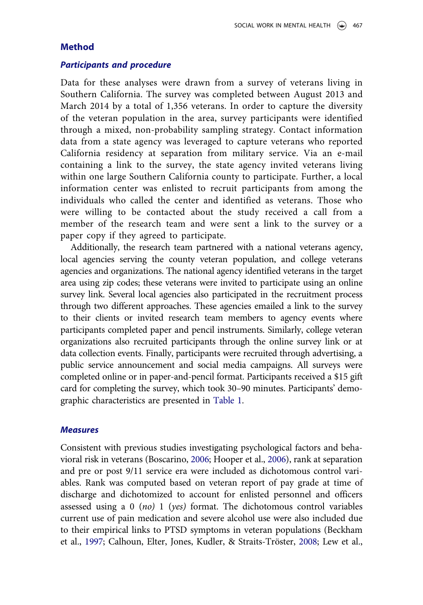# **Method**

#### Participants and procedure

Data for these analyses were drawn from a survey of veterans living in Southern California. The survey was completed between August 2013 and March 2014 by a total of 1,356 veterans. In order to capture the diversity of the veteran population in the area, survey participants were identified through a mixed, non-probability sampling strategy. Contact information data from a state agency was leveraged to capture veterans who reported California residency at separation from military service. Via an e-mail containing a link to the survey, the state agency invited veterans living within one large Southern California county to participate. Further, a local information center was enlisted to recruit participants from among the individuals who called the center and identified as veterans. Those who were willing to be contacted about the study received a call from a member of the research team and were sent a link to the survey or a paper copy if they agreed to participate.

Additionally, the research team partnered with a national veterans agency, local agencies serving the county veteran population, and college veterans agencies and organizations. The national agency identified veterans in the target area using zip codes; these veterans were invited to participate using an online survey link. Several local agencies also participated in the recruitment process through two different approaches. These agencies emailed a link to the survey to their clients or invited research team members to agency events where participants completed paper and pencil instruments. Similarly, college veteran organizations also recruited participants through the online survey link or at data collection events. Finally, participants were recruited through advertising, a public service announcement and social media campaigns. All surveys were completed online or in paper-and-pencil format. Participants received a \$15 gift card for completing the survey, which took 30–90 minutes. Participants' demographic characteristics are presented in [Table 1](#page-3-0).

### **Measures**

Consistent with previous studies investigating psychological factors and behavioral risk in veterans (Boscarino, [2006;](#page-7-7) Hooper et al., [2006\)](#page-7-8), rank at separation and pre or post 9/11 service era were included as dichotomous control variables. Rank was computed based on veteran report of pay grade at time of discharge and dichotomized to account for enlisted personnel and officers assessed using a 0 (no) 1 (yes) format. The dichotomous control variables current use of pain medication and severe alcohol use were also included due to their empirical links to PTSD symptoms in veteran populations (Beckham et al., [1997;](#page-7-9) Calhoun, Elter, Jones, Kudler, & Straits-Tröster, [2008;](#page-7-10) Lew et al.,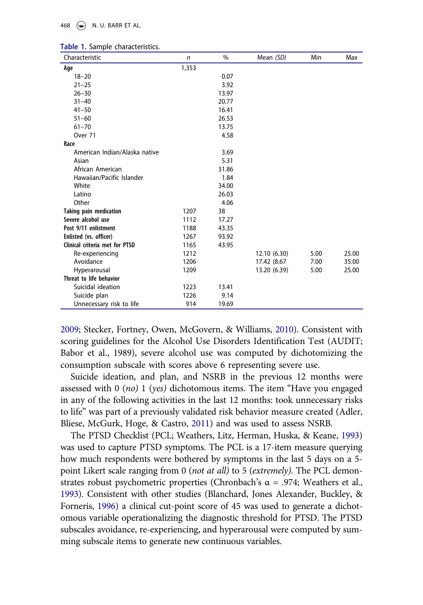#### 468  $\left(\bigcirc\right)$  N. U. BARR ET AL.

| Characteristic                 | $\mathsf{n}$ | $\%$  | Mean (SD)    | Min  | Max   |
|--------------------------------|--------------|-------|--------------|------|-------|
| Age                            | 1,353        |       |              |      |       |
| $18 - 20$                      |              | 0.07  |              |      |       |
| $21 - 25$                      |              | 3.92  |              |      |       |
| $26 - 30$                      |              | 13.97 |              |      |       |
| $31 - 40$                      |              | 20.77 |              |      |       |
| $41 - 50$                      |              | 16.41 |              |      |       |
| $51 - 60$                      |              | 26.53 |              |      |       |
| $61 - 70$                      |              | 13.75 |              |      |       |
| Over 71                        |              | 4.58  |              |      |       |
| Race                           |              |       |              |      |       |
| American Indian/Alaska native  |              | 3.69  |              |      |       |
| Asian                          |              | 5.31  |              |      |       |
| African American               |              | 31.86 |              |      |       |
| Hawaiian/Pacific Islander      |              | 1.84  |              |      |       |
| White                          |              | 34.00 |              |      |       |
| Latino                         |              | 26.03 |              |      |       |
| Other                          |              | 4.06  |              |      |       |
| <b>Taking pain medication</b>  | 1207         | 38    |              |      |       |
| Severe alcohol use             | 1112         | 17.27 |              |      |       |
| Post 9/11 enlistment           | 1188         | 43.35 |              |      |       |
| Enlisted (vs. officer)         | 1267         | 93.92 |              |      |       |
| Clinical criteria met for PTSD | 1165         | 43.95 |              |      |       |
| Re-experiencing                | 1212         |       | 12.10 (6.30) | 5.00 | 25.00 |
| Avoidance                      | 1206         |       | 17.42 (8.67  | 7.00 | 35.00 |
| Hyperarousal                   | 1209         |       | 13.20 (6.39) | 5.00 | 25.00 |
| Threat to life behavior        |              |       |              |      |       |
| Suicidal ideation              | 1223         | 13.41 |              |      |       |
| Suicide plan                   | 1226         | 9.14  |              |      |       |
| Unnecessary risk to life       | 914          | 19.69 |              |      |       |

<span id="page-3-0"></span>

|  |  |  | Table 1. Sample characteristics. |
|--|--|--|----------------------------------|
|--|--|--|----------------------------------|

[2009;](#page-8-3) Stecker, Fortney, Owen, McGovern, & Williams, [2010\)](#page-8-4). Consistent with scoring guidelines for the Alcohol Use Disorders Identification Test (AUDIT; Babor et al., 1989), severe alcohol use was computed by dichotomizing the consumption subscale with scores above 6 representing severe use.

Suicide ideation, and plan, and NSRB in the previous 12 months were assessed with 0 (no) 1 (yes) dichotomous items. The item "Have you engaged in any of the following activities in the last 12 months: took unnecessary risks to life" was part of a previously validated risk behavior measure created (Adler, Bliese, McGurk, Hoge, & Castro, [2011\)](#page-7-11) and was used to assess NSRB.

The PTSD Checklist (PCL; Weathers, Litz, Herman, Huska, & Keane, [1993](#page-8-5)) was used to capture PTSD symptoms. The PCL is a 17-item measure querying how much respondents were bothered by symptoms in the last 5 days on a 5 point Likert scale ranging from 0 (not at all) to 5 (extremely). The PCL demonstrates robust psychometric properties (Chronbach's  $\alpha = .974$ ; Weathers et al., [1993](#page-8-5)). Consistent with other studies (Blanchard, Jones Alexander, Buckley, & Forneris, [1996](#page-7-12)) a clinical cut-point score of 45 was used to generate a dichotomous variable operationalizing the diagnostic threshold for PTSD. The PTSD subscales avoidance, re-experiencing, and hyperarousal were computed by summing subscale items to generate new continuous variables.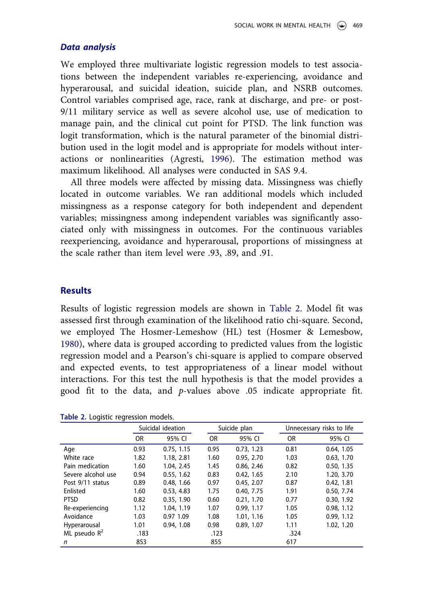### Data analysis

We employed three multivariate logistic regression models to test associations between the independent variables re-experiencing, avoidance and hyperarousal, and suicidal ideation, suicide plan, and NSRB outcomes. Control variables comprised age, race, rank at discharge, and pre- or post-9/11 military service as well as severe alcohol use, use of medication to manage pain, and the clinical cut point for PTSD. The link function was logit transformation, which is the natural parameter of the binomial distribution used in the logit model and is appropriate for models without interactions or nonlinearities (Agresti, [1996](#page-7-13)). The estimation method was maximum likelihood. All analyses were conducted in SAS 9.4.

All three models were affected by missing data. Missingness was chiefly located in outcome variables. We ran additional models which included missingness as a response category for both independent and dependent variables; missingness among independent variables was significantly associated only with missingness in outcomes. For the continuous variables reexperiencing, avoidance and hyperarousal, proportions of missingness at the scale rather than item level were .93, .89, and .91.

### **Results**

Results of logistic regression models are shown in [Table](#page-4-0) 2. Model fit was assessed first through examination of the likelihood ratio chi-square. Second, we employed The Hosmer-Lemeshow (HL) test (Hosmer & Lemesbow, [1980](#page-7-14)), where data is grouped according to predicted values from the logistic regression model and a Pearson's chi-square is applied to compare observed and expected events, to test appropriateness of a linear model without interactions. For this test the null hypothesis is that the model provides a good fit to the data, and p-values above .05 indicate appropriate fit.

|                    |      | Suicidal ideation |           | Suicide plan |           | Unnecessary risks to life |  |
|--------------------|------|-------------------|-----------|--------------|-----------|---------------------------|--|
|                    | 0R   | 95% CI            | <b>OR</b> | 95% CI       | <b>OR</b> | 95% CI                    |  |
| Age                | 0.93 | 0.75, 1.15        | 0.95      | 0.73, 1.23   | 0.81      | 0.64, 1.05                |  |
| White race         | 1.82 | 1.18, 2.81        | 1.60      | 0.95, 2.70   | 1.03      | 0.63, 1.70                |  |
| Pain medication    | 1.60 | 1.04, 2.45        | 1.45      | 0.86, 2.46   | 0.82      | 0.50, 1.35                |  |
| Severe alcohol use | 0.94 | 0.55, 1.62        | 0.83      | 0.42, 1.65   | 2.10      | 1.20, 3.70                |  |
| Post 9/11 status   | 0.89 | 0.48.166          | 0.97      | 0.45.2.07    | 0.87      | 0.42, 1.81                |  |
| Enlisted           | 1.60 | 0.53, 4.83        | 1.75      | 0.40, 7.75   | 1.91      | 0.50, 7.74                |  |
| <b>PTSD</b>        | 0.82 | 0.35, 1.90        | 0.60      | 0.21, 1.70   | 0.77      | 0.30, 1.92                |  |
| Re-experiencing    | 1.12 | 1.04, 1.19        | 1.07      | 0.99.1.17    | 1.05      | 0.98, 1.12                |  |
| Avoidance          | 1.03 | 0.97 1.09         | 1.08      | 1.01, 1.16   | 1.05      | 0.99.1.12                 |  |
| Hyperarousal       | 1.01 | 0.94, 1.08        | 0.98      | 0.89, 1.07   | 1.11      | 1.02, 1.20                |  |
| ML pseudo $R^2$    | .183 |                   | .123      |              | .324      |                           |  |
| n                  | 853  |                   | 855       |              | 617       |                           |  |

<span id="page-4-0"></span>Table 2. Logistic regression models.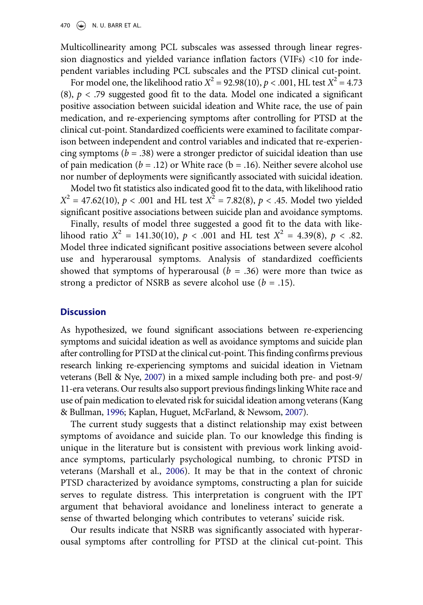Multicollinearity among PCL subscales was assessed through linear regression diagnostics and yielded variance inflation factors (VIFs) <10 for independent variables including PCL subscales and the PTSD clinical cut-point.

For model one, the likelihood ratio  $X^2 = 92.98(10)$ ,  $p < .001$ , HL test  $X^2 = 4.73$ (8),  $p < .79$  suggested good fit to the data. Model one indicated a significant positive association between suicidal ideation and White race, the use of pain medication, and re-experiencing symptoms after controlling for PTSD at the clinical cut-point. Standardized coefficients were examined to facilitate comparison between independent and control variables and indicated that re-experiencing symptoms ( $b = .38$ ) were a stronger predictor of suicidal ideation than use of pain medication ( $b = .12$ ) or White race ( $b = .16$ ). Neither severe alcohol use nor number of deployments were significantly associated with suicidal ideation.

Model two fit statistics also indicated good fit to the data, with likelihood ratio  $X^2 = 47.62(10)$ ,  $p < .001$  and HL test  $X^2 = 7.82(8)$ ,  $p < .45$ . Model two yielded significant positive associations between suicide plan and avoidance symptoms.

Finally, results of model three suggested a good fit to the data with likelihood ratio  $X^2 = 141.30(10)$ ,  $p < .001$  and HL test  $X^2 = 4.39(8)$ ,  $p < .82$ . Model three indicated significant positive associations between severe alcohol use and hyperarousal symptoms. Analysis of standardized coefficients showed that symptoms of hyperarousal  $(b = .36)$  were more than twice as strong a predictor of NSRB as severe alcohol use  $(b = .15)$ .

# **Discussion**

As hypothesized, we found significant associations between re-experiencing symptoms and suicidal ideation as well as avoidance symptoms and suicide plan after controlling for PTSD at the clinical cut-point. This finding confirms previous research linking re-experiencing symptoms and suicidal ideation in Vietnam veterans (Bell & Nye, [2007](#page-7-6)) in a mixed sample including both pre- and post-9/ 11-era veterans. Our results also support previous findings linking White race and use of pain medication to elevated risk for suicidal ideation among veterans (Kang & Bullman, [1996;](#page-7-15) Kaplan, Huguet, McFarland, & Newsom, [2007](#page-8-6)).

The current study suggests that a distinct relationship may exist between symptoms of avoidance and suicide plan. To our knowledge this finding is unique in the literature but is consistent with previous work linking avoidance symptoms, particularly psychological numbing, to chronic PTSD in veterans (Marshall et al., [2006\)](#page-8-7). It may be that in the context of chronic PTSD characterized by avoidance symptoms, constructing a plan for suicide serves to regulate distress. This interpretation is congruent with the IPT argument that behavioral avoidance and loneliness interact to generate a sense of thwarted belonging which contributes to veterans' suicide risk.

Our results indicate that NSRB was significantly associated with hyperarousal symptoms after controlling for PTSD at the clinical cut-point. This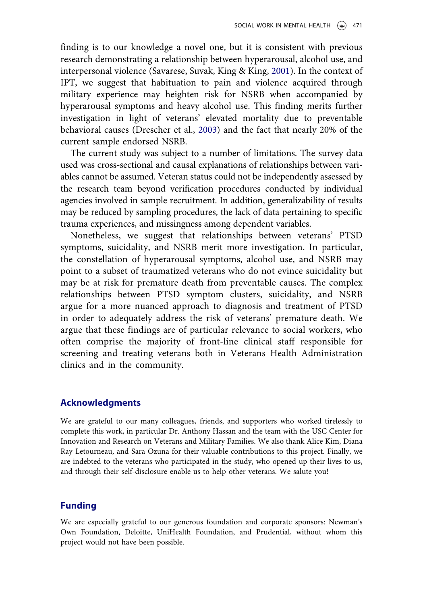finding is to our knowledge a novel one, but it is consistent with previous research demonstrating a relationship between hyperarousal, alcohol use, and interpersonal violence (Savarese, Suvak, King & King, [2001\)](#page-8-8). In the context of IPT, we suggest that habituation to pain and violence acquired through military experience may heighten risk for NSRB when accompanied by hyperarousal symptoms and heavy alcohol use. This finding merits further investigation in light of veterans' elevated mortality due to preventable behavioral causes (Drescher et al., [2003](#page-7-5)) and the fact that nearly 20% of the current sample endorsed NSRB.

The current study was subject to a number of limitations. The survey data used was cross-sectional and causal explanations of relationships between variables cannot be assumed. Veteran status could not be independently assessed by the research team beyond verification procedures conducted by individual agencies involved in sample recruitment. In addition, generalizability of results may be reduced by sampling procedures, the lack of data pertaining to specific trauma experiences, and missingness among dependent variables.

Nonetheless, we suggest that relationships between veterans' PTSD symptoms, suicidality, and NSRB merit more investigation. In particular, the constellation of hyperarousal symptoms, alcohol use, and NSRB may point to a subset of traumatized veterans who do not evince suicidality but may be at risk for premature death from preventable causes. The complex relationships between PTSD symptom clusters, suicidality, and NSRB argue for a more nuanced approach to diagnosis and treatment of PTSD in order to adequately address the risk of veterans' premature death. We argue that these findings are of particular relevance to social workers, who often comprise the majority of front-line clinical staff responsible for screening and treating veterans both in Veterans Health Administration clinics and in the community.

#### Acknowledgments

We are grateful to our many colleagues, friends, and supporters who worked tirelessly to complete this work, in particular Dr. Anthony Hassan and the team with the USC Center for Innovation and Research on Veterans and Military Families. We also thank Alice Kim, Diana Ray-Letourneau, and Sara Ozuna for their valuable contributions to this project. Finally, we are indebted to the veterans who participated in the study, who opened up their lives to us, and through their self-disclosure enable us to help other veterans. We salute you!

# Funding

We are especially grateful to our generous foundation and corporate sponsors: Newman's Own Foundation, Deloitte, UniHealth Foundation, and Prudential, without whom this project would not have been possible.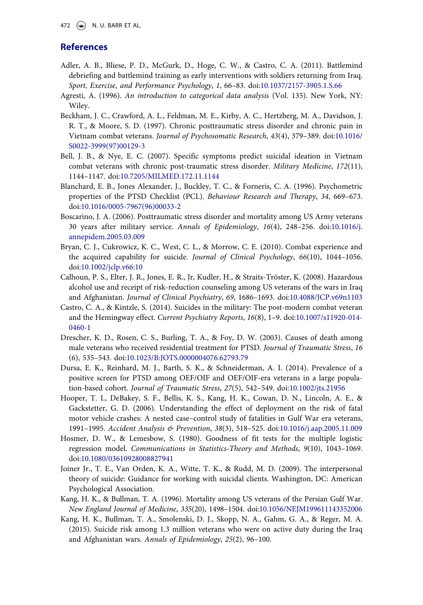# **References**

- <span id="page-7-11"></span>Adler, A. B., Bliese, P. D., McGurk, D., Hoge, C. W., & Castro, C. A. (2011). Battlemind debriefing and battlemind training as early interventions with soldiers returning from Iraq. Sport, Exercise, and Performance Psychology, 1, 66–83. doi:[10.1037/2157-3905.1.S.66](http://dx.doi.org/10.1037/2157-3905.1.S.66)
- <span id="page-7-13"></span>Agresti, A. (1996). An introduction to categorical data analysis (Vol. 135). New York, NY: Wiley.
- <span id="page-7-9"></span>Beckham, J. C., Crawford, A. L., Feldman, M. E., Kirby, A. C., Hertzberg, M. A., Davidson, J. R. T., & Moore, S. D. (1997). Chronic posttraumatic stress disorder and chronic pain in Vietnam combat veterans. Journal of Psychosomatic Research, 43(4), 379–389. doi:[10.1016/](http://dx.doi.org/10.1016/S0022-3999(97)00129-3) [S0022-3999\(97\)00129-3](http://dx.doi.org/10.1016/S0022-3999(97)00129-3)
- <span id="page-7-6"></span>Bell, J. B., & Nye, E. C. (2007). Specific symptoms predict suicidal ideation in Vietnam combat veterans with chronic post-traumatic stress disorder. Military Medicine, 172(11), 1144–1147. doi:[10.7205/MILMED.172.11.1144](http://dx.doi.org/10.7205/MILMED.172.11.1144)
- <span id="page-7-12"></span>Blanchard, E. B., Jones Alexander, J., Buckley, T. C., & Forneris, C. A. (1996). Psychometric properties of the PTSD Checklist (PCL). Behaviour Research and Therapy, 34, 669–673. doi:[10.1016/0005-7967\(96\)00033-2](http://dx.doi.org/10.1016/0005-7967(96)00033-2)
- <span id="page-7-7"></span>Boscarino, J. A. (2006). Posttraumatic stress disorder and mortality among US Army veterans 30 years after military service. Annals of Epidemiology, 16(4), 248–256. doi:[10.1016/j.](http://dx.doi.org/10.1016/j.annepidem.2005.03.009) [annepidem.2005.03.009](http://dx.doi.org/10.1016/j.annepidem.2005.03.009)
- <span id="page-7-2"></span>Bryan, C. J., Cukrowicz, K. C., West, C. L., & Morrow, C. E. (2010). Combat experience and the acquired capability for suicide. Journal of Clinical Psychology, 66(10), 1044–1056. doi:[10.1002/jclp.v66:10](http://dx.doi.org/10.1002/jclp.v66:10)
- <span id="page-7-10"></span>Calhoun, P. S., Elter, J. R., Jones, E. R., Jr, Kudler, H., & Straits-Tröster, K. (2008). Hazardous alcohol use and receipt of risk-reduction counseling among US veterans of the wars in Iraq and Afghanistan. Journal of Clinical Psychiatry, 69, 1686–1693. doi:[10.4088/JCP.v69n1103](http://dx.doi.org/10.4088/JCP.v69n1103)
- <span id="page-7-3"></span>Castro, C. A., & Kintzle, S. (2014). Suicides in the military: The post-modern combat veteran and the Hemingway effect. Current Psychiatry Reports, 16(8), 1–9. doi:[10.1007/s11920-014-](http://dx.doi.org/10.1007/s11920-014-0460-1) [0460-1](http://dx.doi.org/10.1007/s11920-014-0460-1)
- <span id="page-7-5"></span>Drescher, K. D., Rosen, C. S., Burling, T. A., & Foy, D. W. (2003). Causes of death among male veterans who received residential treatment for PTSD. Journal of Traumatic Stress, 16 (6), 535–543. doi:[10.1023/B:JOTS.0000004076.62793.79](http://dx.doi.org/10.1023/B:JOTS.0000004076.62793.79)
- <span id="page-7-4"></span>Dursa, E. K., Reinhard, M. J., Barth, S. K., & Schneiderman, A. I. (2014). Prevalence of a positive screen for PTSD among OEF/OIF and OEF/OIF-era veterans in a large population-based cohort. Journal of Traumatic Stress, 27(5), 542–549. doi:[10.1002/jts.21956](http://dx.doi.org/10.1002/jts.21956)
- <span id="page-7-8"></span>Hooper, T. I., DeBakey, S. F., Bellis, K. S., Kang, H. K., Cowan, D. N., Lincoln, A. E., & Gackstetter, G. D. (2006). Understanding the effect of deployment on the risk of fatal motor vehicle crashes: A nested case–control study of fatalities in Gulf War era veterans, 1991–1995. Accident Analysis & Prevention, 38(3), 518–525. doi:[10.1016/j.aap.2005.11.009](http://dx.doi.org/10.1016/j.aap.2005.11.009)
- <span id="page-7-14"></span>Hosmer, D. W., & Lemesbow, S. (1980). Goodness of fit tests for the multiple logistic regression model. Communications in Statistics-Theory and Methods, 9(10), 1043–1069. doi:[10.1080/03610928008827941](http://dx.doi.org/10.1080/03610928008827941)
- <span id="page-7-1"></span>Joiner Jr., T. E., Van Orden, K. A., Witte, T. K., & Rudd, M. D. (2009). The interpersonal theory of suicide: Guidance for working with suicidal clients. Washington, DC: American Psychological Association.
- <span id="page-7-15"></span>Kang, H. K., & Bullman, T. A. (1996). Mortality among US veterans of the Persian Gulf War. New England Journal of Medicine, 335(20), 1498–1504. doi:[10.1056/NEJM199611143352006](http://dx.doi.org/10.1056/NEJM199611143352006)
- <span id="page-7-0"></span>Kang, H. K., Bullman, T. A., Smolenski, D. J., Skopp, N. A., Gahm, G. A., & Reger, M. A. (2015). Suicide risk among 1.3 million veterans who were on active duty during the Iraq and Afghanistan wars. Annals of Epidemiology, 25(2), 96–100.